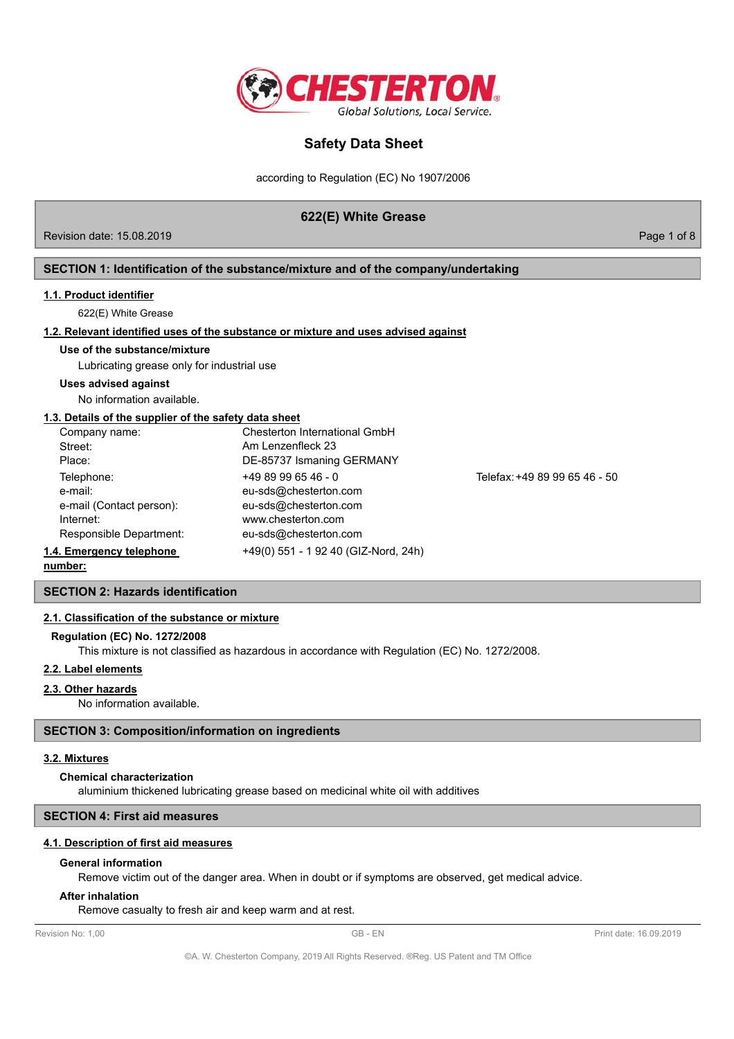

according to Regulation (EC) No 1907/2006

# **622(E) White Grease**

Revision date: 15.08.2019 **Page 1 of 8** 

## **SECTION 1: Identification of the substance/mixture and of the company/undertaking**

#### **1.1. Product identifier**

622(E) White Grease

## **1.2. Relevant identified uses of the substance or mixture and uses advised against**

#### **Use of the substance/mixture**

Lubricating grease only for industrial use

**Uses advised against**

No information available.

### **1.3. Details of the supplier of the safety data sheet**

| Company name:            | Chesterton International GmbH        |                               |
|--------------------------|--------------------------------------|-------------------------------|
| Street:                  | Am Lenzenfleck 23                    |                               |
| Place:                   | DE-85737 Ismaning GERMANY            |                               |
| Telephone:               | $+4989996546 - 0$                    | Telefax: +49 89 99 65 46 - 50 |
| e-mail:                  | eu-sds@chesterton.com                |                               |
| e-mail (Contact person): | eu-sds@chesterton.com                |                               |
| Internet:                | www.chesterton.com                   |                               |
| Responsible Department:  | eu-sds@chesterton.com                |                               |
| 1.4. Emergency telephone | +49(0) 551 - 1 92 40 (GIZ-Nord, 24h) |                               |

**number:**

# **SECTION 2: Hazards identification**

### **2.1. Classification of the substance or mixture**

### **Regulation (EC) No. 1272/2008**

This mixture is not classified as hazardous in accordance with Regulation (EC) No. 1272/2008.

## **2.2. Label elements**

**2.3. Other hazards**

No information available.

### **SECTION 3: Composition/information on ingredients**

## **3.2. Mixtures**

**Chemical characterization**

aluminium thickened lubricating grease based on medicinal white oil with additives

### **SECTION 4: First aid measures**

## **4.1. Description of first aid measures**

### **General information**

Remove victim out of the danger area. When in doubt or if symptoms are observed, get medical advice.

#### **After inhalation**

Remove casualty to fresh air and keep warm and at rest.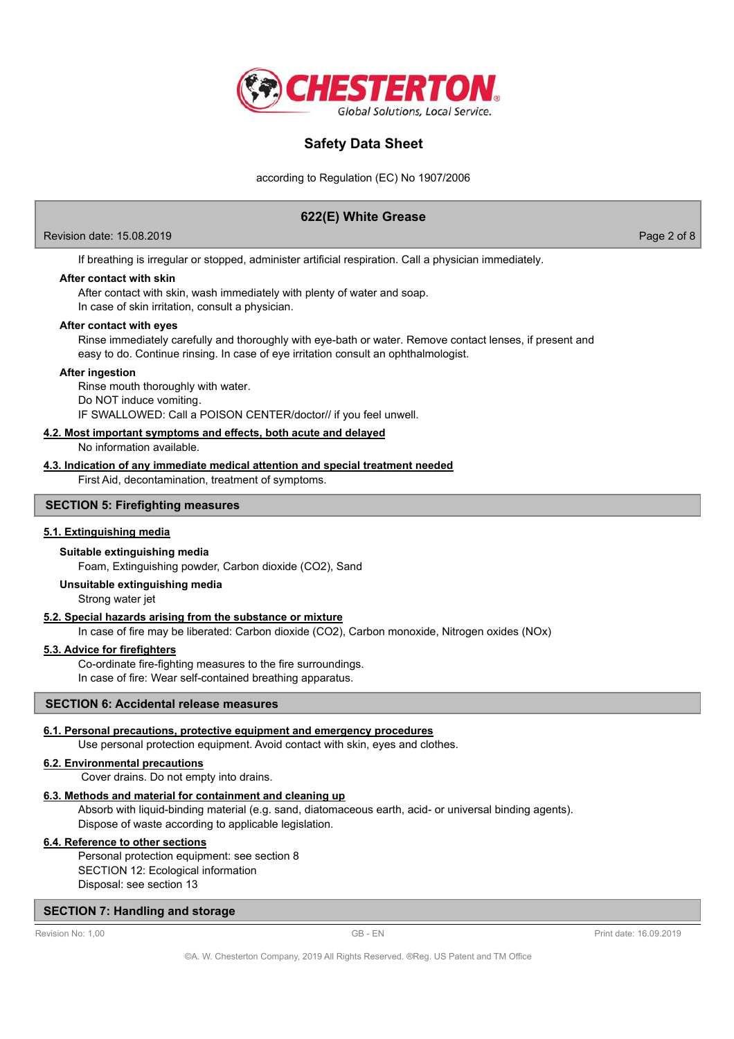

according to Regulation (EC) No 1907/2006

# **622(E) White Grease**

Revision date: 15.08.2019 Page 2 of 8

If breathing is irregular or stopped, administer artificial respiration. Call a physician immediately.

## **After contact with skin**

After contact with skin, wash immediately with plenty of water and soap.

In case of skin irritation, consult a physician.

## **After contact with eyes**

Rinse immediately carefully and thoroughly with eye-bath or water. Remove contact lenses, if present and easy to do. Continue rinsing. In case of eye irritation consult an ophthalmologist.

#### **After ingestion**

Rinse mouth thoroughly with water. Do NOT induce vomiting. IF SWALLOWED: Call a POISON CENTER/doctor// if you feel unwell.

## **4.2. Most important symptoms and effects, both acute and delayed**

No information available.

## **4.3. Indication of any immediate medical attention and special treatment needed**

First Aid, decontamination, treatment of symptoms.

## **SECTION 5: Firefighting measures**

### **5.1. Extinguishing media**

### **Suitable extinguishing media**

Foam, Extinguishing powder, Carbon dioxide (CO2), Sand

#### **Unsuitable extinguishing media**

Strong water jet

## **5.2. Special hazards arising from the substance or mixture**

In case of fire may be liberated: Carbon dioxide (CO2), Carbon monoxide, Nitrogen oxides (NOx)

## **5.3. Advice for firefighters**

Co-ordinate fire-fighting measures to the fire surroundings. In case of fire: Wear self-contained breathing apparatus.

#### **SECTION 6: Accidental release measures**

#### **6.1. Personal precautions, protective equipment and emergency procedures**

Use personal protection equipment. Avoid contact with skin, eyes and clothes.

#### **6.2. Environmental precautions**

Cover drains. Do not empty into drains.

## **6.3. Methods and material for containment and cleaning up**

Absorb with liquid-binding material (e.g. sand, diatomaceous earth, acid- or universal binding agents). Dispose of waste according to applicable legislation.

## **6.4. Reference to other sections**

Personal protection equipment: see section 8 SECTION 12: Ecological information Disposal: see section 13

## **SECTION 7: Handling and storage**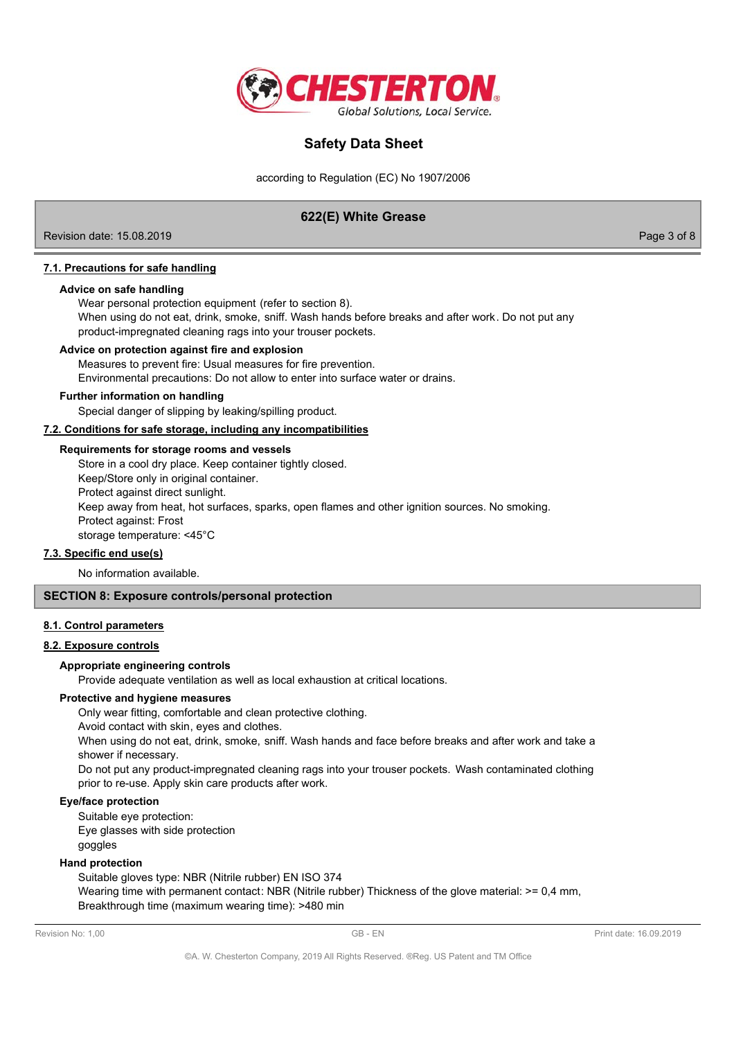

according to Regulation (EC) No 1907/2006

# **622(E) White Grease**

Revision date: 15.08.2019 Page 3 of 8

## **7.1. Precautions for safe handling**

### **Advice on safe handling**

Wear personal protection equipment (refer to section 8).

When using do not eat, drink, smoke, sniff. Wash hands before breaks and after work. Do not put any product-impregnated cleaning rags into your trouser pockets.

#### **Advice on protection against fire and explosion**

Measures to prevent fire: Usual measures for fire prevention. Environmental precautions: Do not allow to enter into surface water or drains.

#### **Further information on handling**

Special danger of slipping by leaking/spilling product.

**7.2. Conditions for safe storage, including any incompatibilities**

#### **Requirements for storage rooms and vessels**

Store in a cool dry place. Keep container tightly closed. Keep/Store only in original container. Protect against direct sunlight. Keep away from heat, hot surfaces, sparks, open flames and other ignition sources. No smoking. Protect against: Frost

storage temperature: <45°C

## **7.3. Specific end use(s)**

No information available.

## **SECTION 8: Exposure controls/personal protection**

#### **8.1. Control parameters**

#### **8.2. Exposure controls**

## **Appropriate engineering controls**

Provide adequate ventilation as well as local exhaustion at critical locations.

#### **Protective and hygiene measures**

Only wear fitting, comfortable and clean protective clothing.

Avoid contact with skin, eyes and clothes.

When using do not eat, drink, smoke, sniff. Wash hands and face before breaks and after work and take a shower if necessary.

Do not put any product-impregnated cleaning rags into your trouser pockets. Wash contaminated clothing prior to re-use. Apply skin care products after work.

#### **Eye/face protection**

Suitable eye protection:

Eye glasses with side protection goggles

# **Hand protection**

Suitable gloves type: NBR (Nitrile rubber) EN ISO 374 Wearing time with permanent contact: NBR (Nitrile rubber) Thickness of the glove material: >= 0,4 mm, Breakthrough time (maximum wearing time): >480 min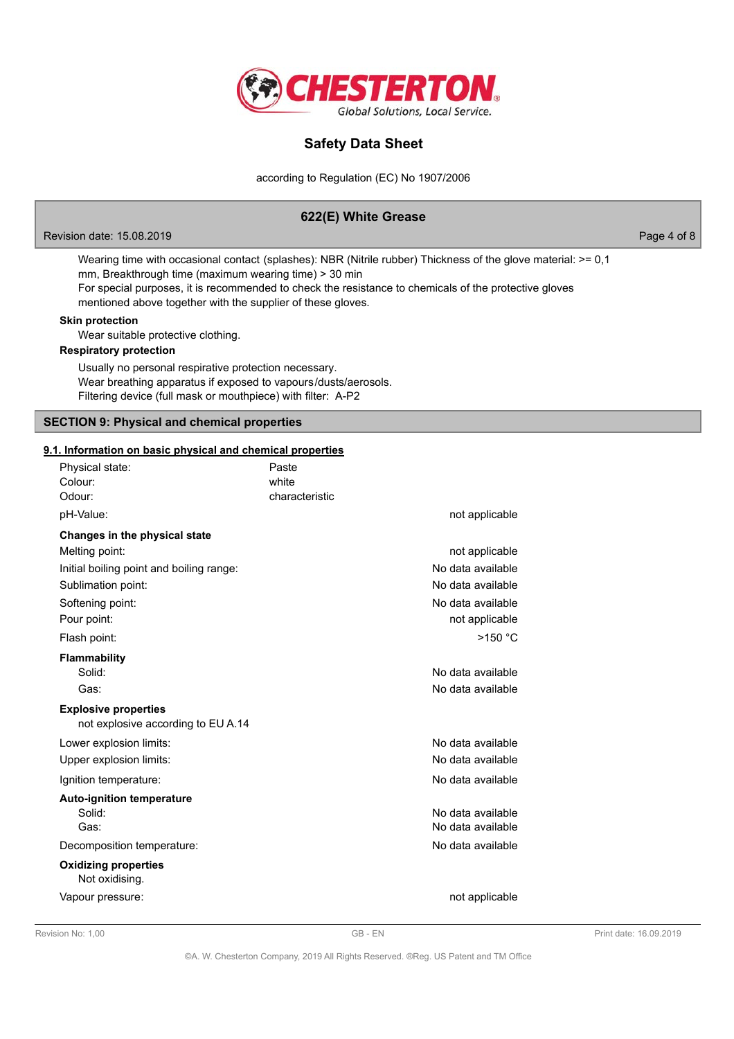

according to Regulation (EC) No 1907/2006

# **622(E) White Grease**

Revision date: 15.08.2019 Page 4 of 8

Wearing time with occasional contact (splashes): NBR (Nitrile rubber) Thickness of the glove material: >= 0,1 mm, Breakthrough time (maximum wearing time) > 30 min For special purposes, it is recommended to check the resistance to chemicals of the protective gloves

mentioned above together with the supplier of these gloves.

## **Skin protection**

Wear suitable protective clothing.

## **Respiratory protection**

Usually no personal respirative protection necessary. Wear breathing apparatus if exposed to vapours/dusts/aerosols. Filtering device (full mask or mouthpiece) with filter: A-P2

#### **SECTION 9: Physical and chemical properties**

#### **9.1. Information on basic physical and chemical properties**

| Physical state:<br>Colour:<br>Odour:                              | Paste<br>white<br>characteristic |                   |
|-------------------------------------------------------------------|----------------------------------|-------------------|
| pH-Value:                                                         |                                  | not applicable    |
| Changes in the physical state                                     |                                  |                   |
| Melting point:                                                    |                                  | not applicable    |
| Initial boiling point and boiling range:                          |                                  | No data available |
| Sublimation point:                                                |                                  | No data available |
| Softening point:                                                  |                                  | No data available |
| Pour point:                                                       |                                  | not applicable    |
| Flash point:                                                      |                                  | $>150$ °C         |
| <b>Flammability</b>                                               |                                  |                   |
| Solid:                                                            |                                  | No data available |
| Gas:                                                              |                                  | No data available |
| <b>Explosive properties</b><br>not explosive according to EU A.14 |                                  |                   |
| Lower explosion limits:                                           |                                  | No data available |
| Upper explosion limits:                                           |                                  | No data available |
| Ignition temperature:                                             |                                  | No data available |
| <b>Auto-ignition temperature</b>                                  |                                  |                   |
| Solid:                                                            |                                  | No data available |
| Gas:                                                              |                                  | No data available |
| Decomposition temperature:                                        |                                  | No data available |
| <b>Oxidizing properties</b><br>Not oxidising.                     |                                  |                   |
| Vapour pressure:                                                  |                                  | not applicable    |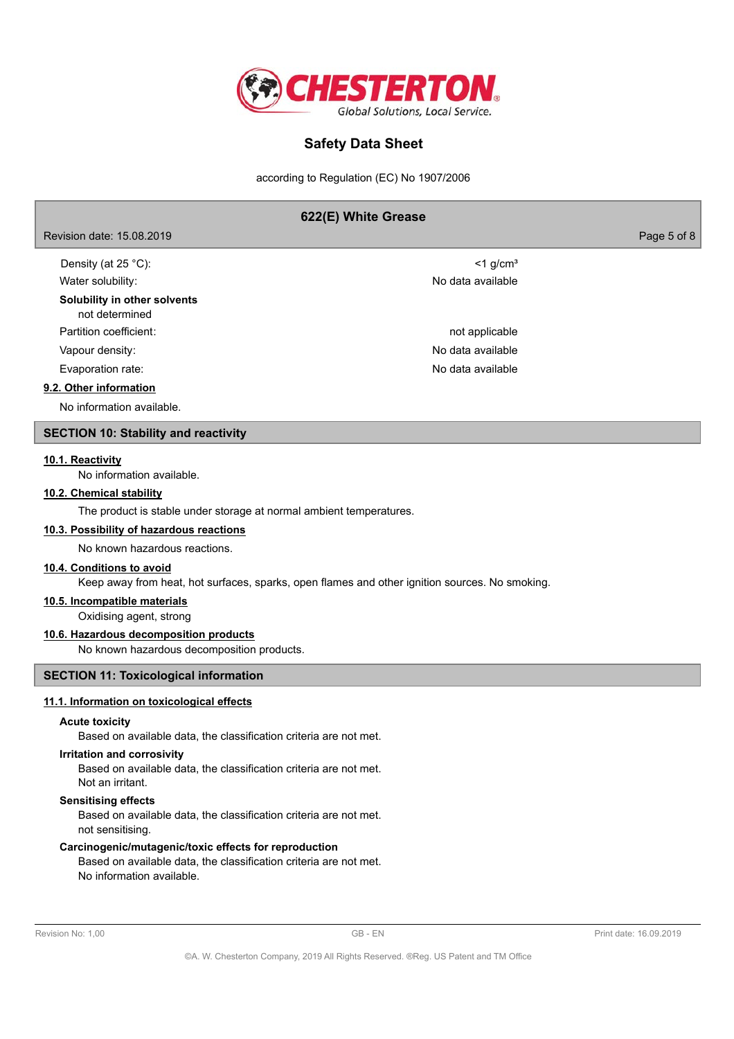

according to Regulation (EC) No 1907/2006

## **622(E) White Grease**

Revision date: 15.08.2019 Page 5 of 8

| Density (at $25^{\circ}$ C):                   | $<$ 1 g/cm <sup>3</sup> |
|------------------------------------------------|-------------------------|
| Water solubility:                              | No data available       |
| Solubility in other solvents<br>not determined |                         |
| Partition coefficient:                         | not applicable          |
| Vapour density:                                | No data available       |
| Evaporation rate:                              | No data available       |
| 9.2. Other information                         |                         |
| No information available.                      |                         |

# **SECTION 10: Stability and reactivity**

#### **10.1. Reactivity**

No information available.

## **10.2. Chemical stability**

The product is stable under storage at normal ambient temperatures.

## **10.3. Possibility of hazardous reactions**

No known hazardous reactions.

## **10.4. Conditions to avoid**

Keep away from heat, hot surfaces, sparks, open flames and other ignition sources. No smoking.

## **10.5. Incompatible materials**

Oxidising agent, strong

## **10.6. Hazardous decomposition products**

No known hazardous decomposition products.

### **SECTION 11: Toxicological information**

## **11.1. Information on toxicological effects**

#### **Acute toxicity**

Based on available data, the classification criteria are not met.

#### **Irritation and corrosivity**

Based on available data, the classification criteria are not met. Not an irritant.

#### **Sensitising effects**

Based on available data, the classification criteria are not met. not sensitising.

### **Carcinogenic/mutagenic/toxic effects for reproduction**

Based on available data, the classification criteria are not met. No information available.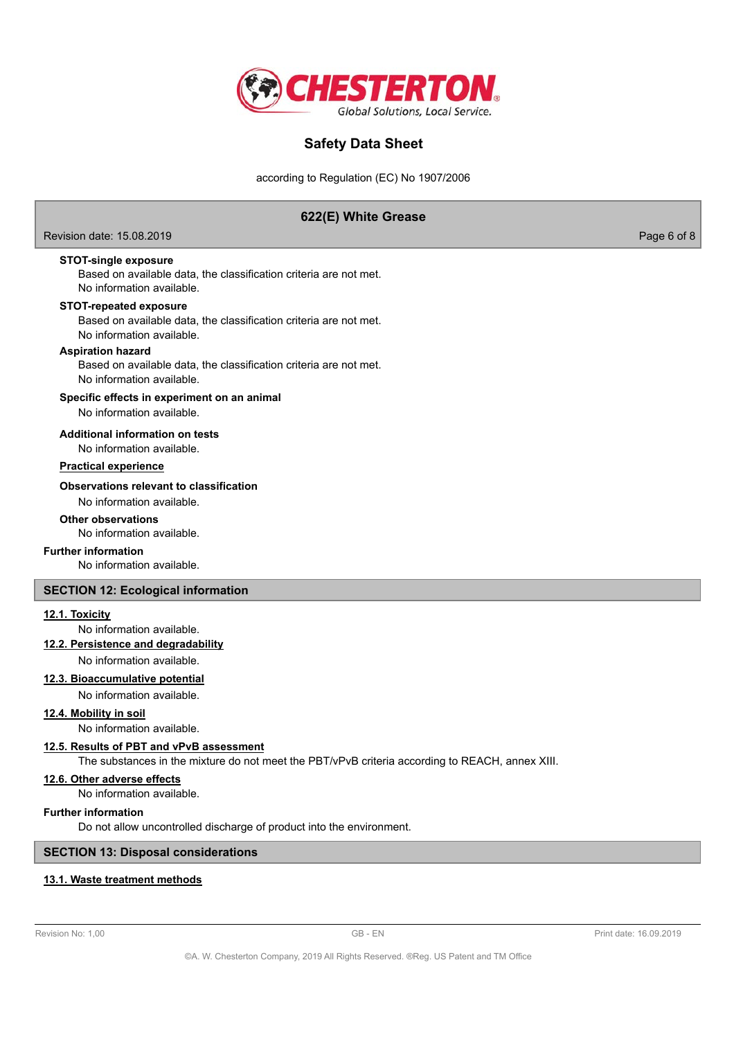

according to Regulation (EC) No 1907/2006

# **622(E) White Grease**

Revision date: 15.08.2019 Page 6 of 8

**STOT-single exposure**

Based on available data, the classification criteria are not met. No information available.

## **STOT-repeated exposure**

Based on available data, the classification criteria are not met. No information available.

## **Aspiration hazard**

Based on available data, the classification criteria are not met. No information available.

## **Specific effects in experiment on an animal**

No information available.

## **Additional information on tests**

No information available.

## **Practical experience**

#### **Observations relevant to classification**

No information available.

## **Other observations**

No information available.

## **Further information**

No information available.

## **SECTION 12: Ecological information**

## **12.1. Toxicity**

No information available.

# **12.2. Persistence and degradability**

No information available.

## **12.3. Bioaccumulative potential**

No information available.

## **12.4. Mobility in soil**

No information available.

## **12.5. Results of PBT and vPvB assessment**

The substances in the mixture do not meet the PBT/vPvB criteria according to REACH, annex XIII.

**12.6. Other adverse effects**

No information available.

## **Further information**

Do not allow uncontrolled discharge of product into the environment.

### **SECTION 13: Disposal considerations**

### **13.1. Waste treatment methods**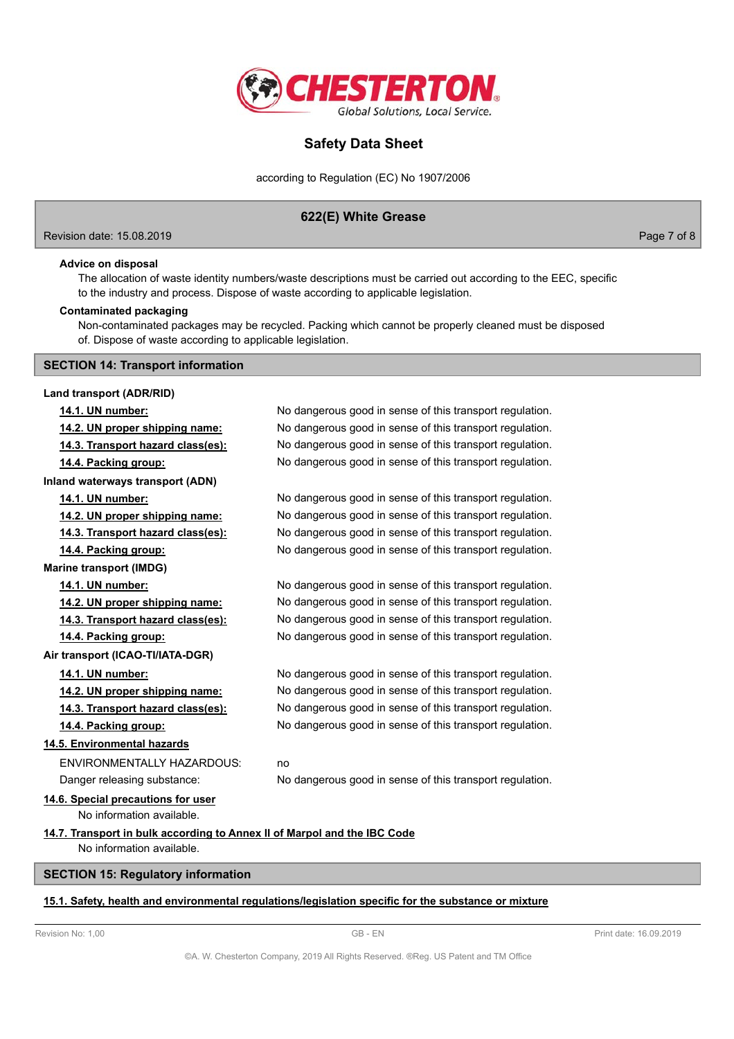

according to Regulation (EC) No 1907/2006

# **622(E) White Grease**

Revision date: 15.08.2019 Page 7 of 8

## **Advice on disposal**

The allocation of waste identity numbers/waste descriptions must be carried out according to the EEC, specific to the industry and process. Dispose of waste according to applicable legislation.

#### **Contaminated packaging**

Non-contaminated packages may be recycled. Packing which cannot be properly cleaned must be disposed of. Dispose of waste according to applicable legislation.

## **SECTION 14: Transport information**

**Land transport (ADR/RID) 14.1. UN number:** No dangerous good in sense of this transport regulation. **14.2. UN proper shipping name:** No dangerous good in sense of this transport regulation. **14.3. Transport hazard class(es):** No dangerous good in sense of this transport regulation. **14.4. Packing group:** No dangerous good in sense of this transport regulation. **Inland waterways transport (ADN) 14.1. UN number:** No dangerous good in sense of this transport regulation. **14.2. UN proper shipping name:** No dangerous good in sense of this transport regulation. **14.3. Transport hazard class(es):** No dangerous good in sense of this transport regulation. **14.4. Packing group:** No dangerous good in sense of this transport regulation. **Marine transport (IMDG) 14.1. UN number:** No dangerous good in sense of this transport regulation. **14.2. UN proper shipping name:** No dangerous good in sense of this transport regulation. **14.3. Transport hazard class(es):** No dangerous good in sense of this transport regulation. **14.4. Packing group:** No dangerous good in sense of this transport regulation. **Air transport (ICAO-TI/IATA-DGR) 14.1. UN number:** No dangerous good in sense of this transport regulation. **14.2. UN proper shipping name:** No dangerous good in sense of this transport regulation. **14.3. Transport hazard class(es):** No dangerous good in sense of this transport regulation. **14.4. Packing group:** No dangerous good in sense of this transport regulation. **14.5. Environmental hazards** ENVIRONMENTALLY HAZARDOUS: no Danger releasing substance: No dangerous good in sense of this transport regulation. **14.6. Special precautions for user** No information available. **14.7. Transport in bulk according to Annex II of Marpol and the IBC Code** No information available. **SECTION 15: Regulatory information**

### **15.1. Safety, health and environmental regulations/legislation specific for the substance or mixture**